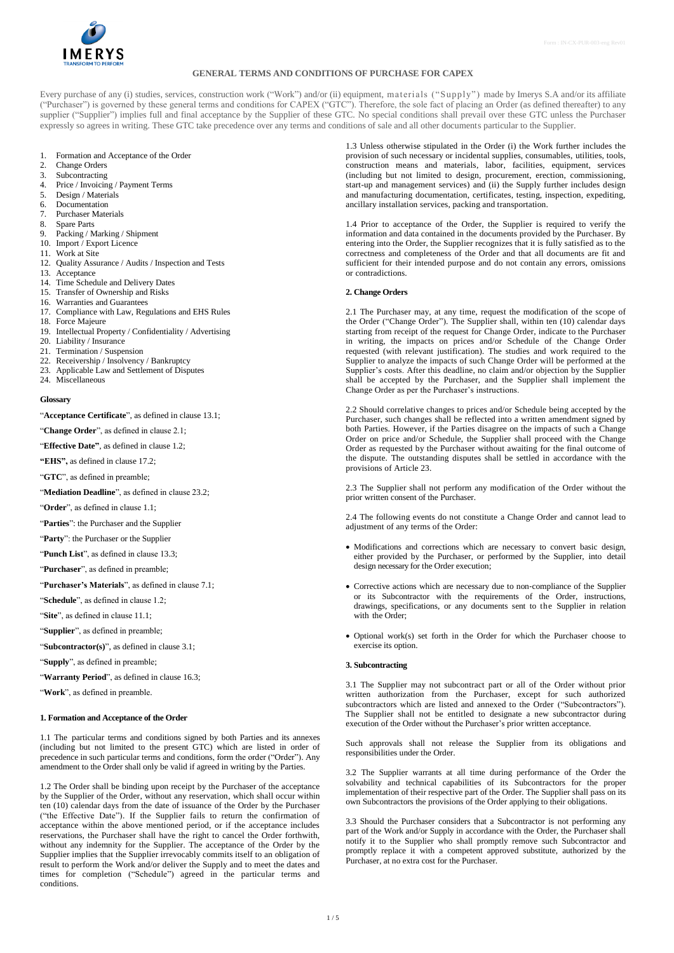

# **GENERAL TERMS AND CONDITIONS OF PURCHASE FOR CAPEX**

Every purchase of any (i) studies, services, construction work ("Work") and/or (ii) equipment, materials ("Supply") made by Imerys S.A and/or its affiliate ("Purchaser") is governed by these general terms and conditions for CAPEX ("GTC"). Therefore, the sole fact of placing an Order (as defined thereafter) to any supplier ("Supplier") implies full and final acceptance by the Supplier of these GTC. No special conditions shall prevail over these GTC unless the Purchaser expressly so agrees in writing. These GTC take precedence over any terms and conditions of sale and all other documents particular to the Supplier.

# 1. Formation and Acceptance of the Order<br>2. Change Orders

- Change Orders
- 3. Subcontracting<br>4. Price / Invoicin Price / Invoicing / Payment Terms
- 5. Design / Materials
- 6. Documentation
- 7. Purchaser Materials
- 8. Spare Parts
- 9. Packing / Marking / Shipment
- 10. Import / Export Licence
- 11. Work at Site
- 12. Quality Assurance / Audits / Inspection and Tests
- 13. Acceptance
- 14. Time Schedule and Delivery Dates
- 15. Transfer of Ownership and Risks 16. Warranties and Guarantees
- 
- 17. Compliance with Law, Regulations and EHS Rules
- 18. Force Majeure
- 19. Intellectual Property / Confidentiality / Advertising
- 20. Liability / Insurance
- 21. Termination / Suspension
- 22. Receivership / Insolvency / Bankruptcy
- 23. Applicable Law and Settlement of Disputes
- 24. Miscellaneous

# **Glossary**

"**Acceptance Certificate**", as defined in clause 13.1;

"**Change Order**", as defined in clause 2.1;

"**Effective Date"**, as defined in clause 1.2;

**"EHS",** as defined in clause 17.2;

"**GTC**", as defined in preamble;

"**Mediation Deadline**", as defined in clause 23.2;

"**Order**", as defined in clause 1.1;

"Parties": the Purchaser and the Supplier

"Party": the Purchaser or the Supplier

"**Punch List**", as defined in clause 13.3;

"**Purchaser**", as defined in preamble;

"**Purchaser's Materials**", as defined in clause 7.1;

"**Schedule**", as defined in clause 1.2;

"**Site**", as defined in clause 11.1;

"**Supplier**", as defined in preamble;

"Subcontractor(s)", as defined in clause 3.1;

"**Supply**", as defined in preamble;

"**Warranty Period**", as defined in clause 16.3;

"**Work**", as defined in preamble.

#### **1. Formation and Acceptance of the Order**

1.1 The particular terms and conditions signed by both Parties and its annexes (including but not limited to the present GTC) which are listed in order of precedence in such particular terms and conditions, form the order ("Order"). Any amendment to the Order shall only be valid if agreed in writing by the Parties.

1.2 The Order shall be binding upon receipt by the Purchaser of the acceptance by the Supplier of the Order, without any reservation, which shall occur within ten (10) calendar days from the date of issuance of the Order by the Purchaser ("the Effective Date"). If the Supplier fails to return the confirmation of acceptance within the above mentioned period, or if the acceptance includes reservations, the Purchaser shall have the right to cancel the Order forthwith, without any indemnity for the Supplier. The acceptance of the Order by the Supplier implies that the Supplier irrevocably commits itself to an obligation of result to perform the Work and/or deliver the Supply and to meet the dates and times for completion ("Schedule") agreed in the particular terms and conditions.

1.3 Unless otherwise stipulated in the Order (i) the Work further includes the provision of such necessary or incidental supplies, consumables, utilities, tools, construction means and materials, labor, facilities, equipment, services (including but not limited to design, procurement, erection, commissioning, start-up and management services) and (ii) the Supply further includes design and manufacturing documentation, certificates, testing, inspection, expediting, ancillary installation services, packing and transportation.

1.4 Prior to acceptance of the Order, the Supplier is required to verify the information and data contained in the documents provided by the Purchaser. By entering into the Order, the Supplier recognizes that it is fully satisfied as to the correctness and completeness of the Order and that all documents are fit and sufficient for their intended purpose and do not contain any errors, omissions or contradictions.

## **2. Change Orders**

2.1 The Purchaser may, at any time, request the modification of the scope of the Order ("Change Order"). The Supplier shall, within ten (10) calendar days starting from receipt of the request for Change Order, indicate to the Purchaser in writing, the impacts on prices and/or Schedule of the Change Order requested (with relevant justification). The studies and work required to the Supplier to analyze the impacts of such Change Order will be performed at the Supplier's costs. After this deadline, no claim and/or objection by the Supplier shall be accepted by the Purchaser, and the Supplier shall implement the Change Order as per the Purchaser's instructions.

2.2 Should correlative changes to prices and/or Schedule being accepted by the Purchaser, such changes shall be reflected into a written amendment signed by both Parties. However, if the Parties disagree on the impacts of such a Change Order on price and/or Schedule, the Supplier shall proceed with the Change Order as requested by the Purchaser without awaiting for the final outcome of the dispute. The outstanding disputes shall be settled in accordance with the provisions of Article 23.

2.3 The Supplier shall not perform any modification of the Order without the prior written consent of the Purchaser.

2.4 The following events do not constitute a Change Order and cannot lead to adjustment of any terms of the Order:

- Modifications and corrections which are necessary to convert basic design, either provided by the Purchaser, or performed by the Supplier, into detail design necessary for the Order execution;
- Corrective actions which are necessary due to non‐compliance of the Supplier or its Subcontractor with the requirements of the Order, instructions, drawings, specifications, or any documents sent to the Supplier in relation with the Order;
- Optional work(s) set forth in the Order for which the Purchaser choose to exercise its option.

#### **3. Subcontracting**

3.1 The Supplier may not subcontract part or all of the Order without prior written authorization from the Purchaser, except for such authorized subcontractors which are listed and annexed to the Order ("Subcontractors"). The Supplier shall not be entitled to designate a new subcontractor during execution of the Order without the Purchaser's prior written acceptance.

Such approvals shall not release the Supplier from its obligations and responsibilities under the Order.

3.2 The Supplier warrants at all time during performance of the Order the solvability and technical capabilities of its Subcontractors for the proper implementation of their respective part of the Order. The Supplier shall pass on its own Subcontractors the provisions of the Order applying to their obligations.

3.3 Should the Purchaser considers that a Subcontractor is not performing any part of the Work and/or Supply in accordance with the Order, the Purchaser shall notify it to the Supplier who shall promptly remove such Subcontractor and promptly replace it with a competent approved substitute, authorized by the Purchaser, at no extra cost for the Purchaser.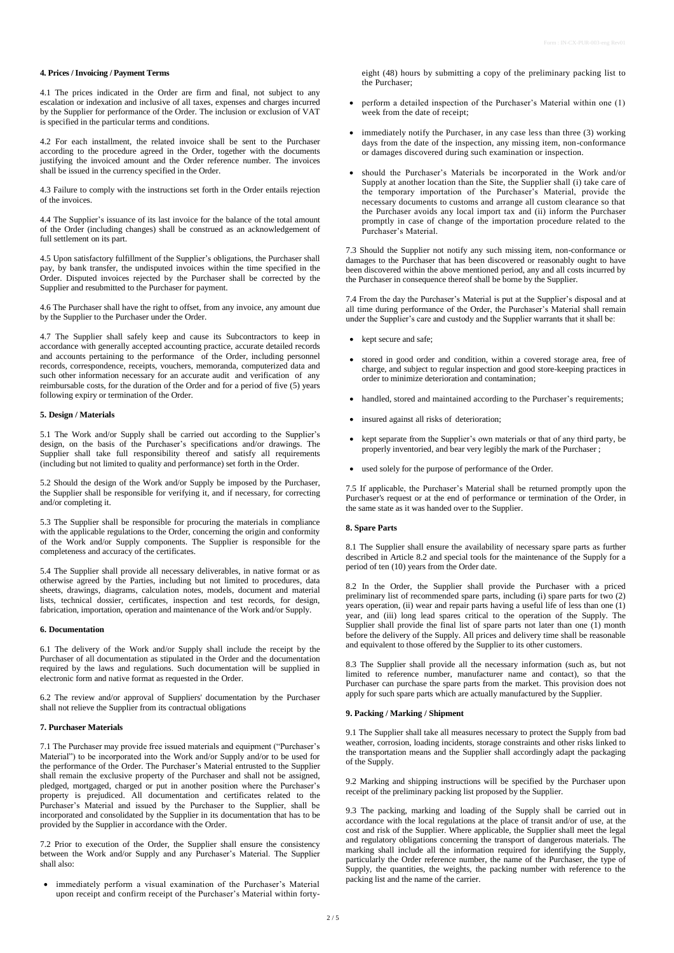# **4. Prices / Invoicing / Payment Terms**

4.1 The prices indicated in the Order are firm and final, not subject to any escalation or indexation and inclusive of all taxes, expenses and charges incurred by the Supplier for performance of the Order. The inclusion or exclusion of VAT is specified in the particular terms and conditions.

4.2 For each installment, the related invoice shall be sent to the Purchaser according to the procedure agreed in the Order, together with the documents justifying the invoiced amount and the Order reference number. The invoices shall be issued in the currency specified in the Order.

4.3 Failure to comply with the instructions set forth in the Order entails rejection of the invoices.

4.4 The Supplier"s issuance of its last invoice for the balance of the total amount of the Order (including changes) shall be construed as an acknowledgement of full settlement on its part.

4.5 Upon satisfactory fulfillment of the Supplier"s obligations, the Purchaser shall pay, by bank transfer, the undisputed invoices within the time specified in the Order. Disputed invoices rejected by the Purchaser shall be corrected by the Supplier and resubmitted to the Purchaser for payment.

4.6 The Purchaser shall have the right to offset, from any invoice, any amount due by the Supplier to the Purchaser under the Order.

4.7 The Supplier shall safely keep and cause its Subcontractors to keep in accordance with generally accepted accounting practice, accurate detailed records and accounts pertaining to the performance of the Order, including personnel records, correspondence, receipts, vouchers, memoranda, computerized data and such other information necessary for an accurate audit and verification of any reimbursable costs, for the duration of the Order and for a period of five (5) years following expiry or termination of the Order.

## **5. Design / Materials**

5.1 The Work and/or Supply shall be carried out according to the Supplier"s design, on the basis of the Purchaser's specifications and/or drawings. The Supplier shall take full responsibility thereof and satisfy all requirements (including but not limited to quality and performance) set forth in the Order.

5.2 Should the design of the Work and/or Supply be imposed by the Purchaser, the Supplier shall be responsible for verifying it, and if necessary, for correcting and/or completing it.

5.3 The Supplier shall be responsible for procuring the materials in compliance with the applicable regulations to the Order, concerning the origin and conformity of the Work and/or Supply components. The Supplier is responsible for the completeness and accuracy of the certificates.

5.4 The Supplier shall provide all necessary deliverables, in native format or as otherwise agreed by the Parties, including but not limited to procedures, data sheets, drawings, diagrams, calculation notes, models, document and material lists, technical dossier, certificates, inspection and test records, for design, fabrication, importation, operation and maintenance of the Work and/or Supply.

### **6. Documentation**

6.1 The delivery of the Work and/or Supply shall include the receipt by the Purchaser of all documentation as stipulated in the Order and the documentation required by the laws and regulations. Such documentation will be supplied in electronic form and native format as requested in the Order.

6.2 The review and/or approval of Suppliers' documentation by the Purchaser shall not relieve the Supplier from its contractual obligations

## **7. Purchaser Materials**

7.1 The Purchaser may provide free issued materials and equipment ("Purchaser"s Material") to be incorporated into the Work and/or Supply and/or to be used for the performance of the Order. The Purchaser's Material entrusted to the Supplier shall remain the exclusive property of the Purchaser and shall not be assigned, pledged, mortgaged, charged or put in another position where the Purchaser's property is prejudiced. All documentation and certificates related to the Purchaser's Material and issued by the Purchaser to the Supplier, shall be incorporated and consolidated by the Supplier in its documentation that has to be provided by the Supplier in accordance with the Order.

7.2 Prior to execution of the Order, the Supplier shall ensure the consistency between the Work and/or Supply and any Purchaser's Material. The Supplier shall also:

immediately perform a visual examination of the Purchaser's Material upon receipt and confirm receipt of the Purchaser's Material within fortyeight (48) hours by submitting a copy of the preliminary packing list to the Purchaser;

- perform a detailed inspection of the Purchaser"s Material within one (1) week from the date of receipt:
- immediately notify the Purchaser, in any case less than three (3) working days from the date of the inspection, any missing item, non-conformance or damages discovered during such examination or inspection.
- should the Purchaser"s Materials be incorporated in the Work and/or Supply at another location than the Site, the Supplier shall (i) take care of the temporary importation of the Purchaser"s Material, provide the necessary documents to customs and arrange all custom clearance so that the Purchaser avoids any local import tax and (ii) inform the Purchaser promptly in case of change of the importation procedure related to the Purchaser's Material.

7.3 Should the Supplier not notify any such missing item, non-conformance or damages to the Purchaser that has been discovered or reasonably ought to have been discovered within the above mentioned period, any and all costs incurred by the Purchaser in consequence thereof shall be borne by the Supplier.

7.4 From the day the Purchaser"s Material is put at the Supplier"s disposal and at all time during performance of the Order, the Purchaser"s Material shall remain under the Supplier's care and custody and the Supplier warrants that it shall be:

- kept secure and safe;
- stored in good order and condition, within a covered storage area, free of charge, and subject to regular inspection and good store-keeping practices in order to minimize deterioration and contamination;
- handled, stored and maintained according to the Purchaser's requirements;
- insured against all risks of deterioration;
- kept separate from the Supplier's own materials or that of any third party, be properly inventoried, and bear very legibly the mark of the Purchaser ;
- used solely for the purpose of performance of the Order.

7.5 If applicable, the Purchaser"s Material shall be returned promptly upon the Purchaser's request or at the end of performance or termination of the Order, in the same state as it was handed over to the Supplier.

# **8. Spare Parts**

8.1 The Supplier shall ensure the availability of necessary spare parts as further described in Article 8.2 and special tools for the maintenance of the Supply for a period of ten (10) years from the Order date.

8.2 In the Order, the Supplier shall provide the Purchaser with a priced preliminary list of recommended spare parts, including (i) spare parts for two (2) years operation, (ii) wear and repair parts having a useful life of less than one (1) year, and (iii) long lead spares critical to the operation of the Supply. The Supplier shall provide the final list of spare parts not later than one (1) month before the delivery of the Supply. All prices and delivery time shall be reasonable and equivalent to those offered by the Supplier to its other customers.

8.3 The Supplier shall provide all the necessary information (such as, but not limited to reference number, manufacturer name and contact), so that the Purchaser can purchase the spare parts from the market. This provision does not apply for such spare parts which are actually manufactured by the Supplier.

## **9. Packing / Marking / Shipment**

9.1 The Supplier shall take all measures necessary to protect the Supply from bad weather, corrosion, loading incidents, storage constraints and other risks linked to the transportation means and the Supplier shall accordingly adapt the packaging of the Supply.

9.2 Marking and shipping instructions will be specified by the Purchaser upon receipt of the preliminary packing list proposed by the Supplier.

9.3 The packing, marking and loading of the Supply shall be carried out in  $\alpha$  accordance with the local regulations at the place of transit and/or of use, at the cost and risk of the Supplier. Where applicable, the Supplier shall meet the legal and regulatory obligations concerning the transport of dangerous materials. The marking shall include all the information required for identifying the Supply, particularly the Order reference number, the name of the Purchaser, the type of Supply, the quantities, the weights, the packing number with reference to the packing list and the name of the carrier.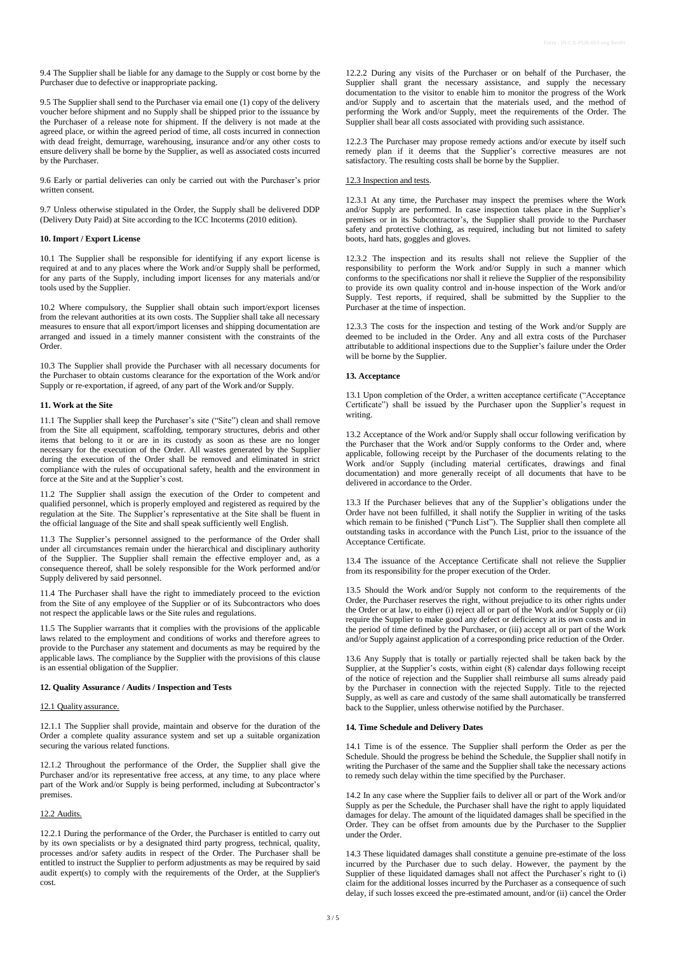9.4 The Supplier shall be liable for any damage to the Supply or cost borne by the Purchaser due to defective or inappropriate packing.

9.5 The Supplier shall send to the Purchaser via email one (1) copy of the delivery voucher before shipment and no Supply shall be shipped prior to the issuance by the Purchaser of a release note for shipment. If the delivery is not made at the agreed place, or within the agreed period of time, all costs incurred in connection with dead freight, demurrage, warehousing, insurance and/or any other costs to ensure delivery shall be borne by the Supplier, as well as associated costs incurred by the Purchaser.

9.6 Early or partial deliveries can only be carried out with the Purchaser"s prior written consent.

9.7 Unless otherwise stipulated in the Order, the Supply shall be delivered DDP (Delivery Duty Paid) at Site according to the ICC Incoterms (2010 edition).

# **10. Import / Export License**

10.1 The Supplier shall be responsible for identifying if any export license is required at and to any places where the Work and/or Supply shall be performed, for any parts of the Supply, including import licenses for any materials and/or tools used by the Supplier.

10.2 Where compulsory, the Supplier shall obtain such import/export licenses from the relevant authorities at its own costs. The Supplier shall take all necessary measures to ensure that all export/import licenses and shipping documentation are arranged and issued in a timely manner consistent with the constraints of the Order.

10.3 The Supplier shall provide the Purchaser with all necessary documents for the Purchaser to obtain customs clearance for the exportation of the Work and/or Supply or re-exportation, if agreed, of any part of the Work and/or Supply.

# **11. Work at the Site**

11.1 The Supplier shall keep the Purchaser"s site ("Site") clean and shall remove from the Site all equipment, scaffolding, temporary structures, debris and other items that belong to it or are in its custody as soon as these are no longer necessary for the execution of the Order. All wastes generated by the Supplier during the execution of the Order shall be removed and eliminated in strict compliance with the rules of occupational safety, health and the environment in force at the Site and at the Supplier's cost.

11.2 The Supplier shall assign the execution of the Order to competent and qualified personnel, which is properly employed and registered as required by the regulation at the Site. The Supplier"s representative at the Site shall be fluent in the official language of the Site and shall speak sufficiently well English.

11.3 The Supplier"s personnel assigned to the performance of the Order shall under all circumstances remain under the hierarchical and disciplinary authority of the Supplier. The Supplier shall remain the effective employer and, as a consequence thereof, shall be solely responsible for the Work performed and/or Supply delivered by said personnel.

11.4 The Purchaser shall have the right to immediately proceed to the eviction from the Site of any employee of the Supplier or of its Subcontractors who does not respect the applicable laws or the Site rules and regulations.

11.5 The Supplier warrants that it complies with the provisions of the applicable laws related to the employment and conditions of works and therefore agrees to provide to the Purchaser any statement and documents as may be required by the applicable laws. The compliance by the Supplier with the provisions of this clause is an essential obligation of the Supplier.

## **12. Quality Assurance / Audits / Inspection and Tests**

## 12.1 Quality assurance.

12.1.1 The Supplier shall provide, maintain and observe for the duration of the Order a complete quality assurance system and set up a suitable organization securing the various related functions.

12.1.2 Throughout the performance of the Order, the Supplier shall give the Purchaser and/or its representative free access, at any time, to any place where part of the Work and/or Supply is being performed, including at Subcontractor's premises.

## 12.2 Audits.

12.2.1 During the performance of the Order, the Purchaser is entitled to carry out by its own specialists or by a designated third party progress, technical, quality, processes and/or safety audits in respect of the Order. The Purchaser shall be entitled to instruct the Supplier to perform adjustments as may be required by said audit expert(s) to comply with the requirements of the Order, at the Supplier's cost.

12.2.2 During any visits of the Purchaser or on behalf of the Purchaser, the Supplier shall grant the necessary assistance, and supply the necessary documentation to the visitor to enable him to monitor the progress of the Work and/or Supply and to ascertain that the materials used, and the method of performing the Work and/or Supply, meet the requirements of the Order. The Supplier shall bear all costs associated with providing such assistance.

12.2.3 The Purchaser may propose remedy actions and/or execute by itself such remedy plan if it deems that the Supplier's corrective measures are not satisfactory. The resulting costs shall be borne by the Supplier.

## 12.3 Inspection and tests.

12.3.1 At any time, the Purchaser may inspect the premises where the Work and/or Supply are performed. In case inspection takes place in the Supplier's premises or in its Subcontractor's, the Supplier shall provide to the Purchaser safety and protective clothing, as required, including but not limited to safety boots, hard hats, goggles and gloves.

12.3.2 The inspection and its results shall not relieve the Supplier of the responsibility to perform the Work and/or Supply in such a manner which conforms to the specifications nor shall it relieve the Supplier of the responsibility to provide its own quality control and in-house inspection of the Work and/or Supply. Test reports, if required, shall be submitted by the Supplier to the Purchaser at the time of inspection.

12.3.3 The costs for the inspection and testing of the Work and/or Supply are deemed to be included in the Order. Any and all extra costs of the Purchaser attributable to additional inspections due to the Supplier"s failure under the Order will be borne by the Supplier.

# **13. Acceptance**

13.1 Upon completion of the Order, a written acceptance certificate ("Acceptance Certificate") shall be issued by the Purchaser upon the Supplier"s request in writing.

13.2 Acceptance of the Work and/or Supply shall occur following verification by the Purchaser that the Work and/or Supply conforms to the Order and, where applicable, following receipt by the Purchaser of the documents relating to the Work and/or Supply (including material certificates, drawings and final documentation) and more generally receipt of all documents that have to be delivered in accordance to the Order.

13.3 If the Purchaser believes that any of the Supplier"s obligations under the Order have not been fulfilled, it shall notify the Supplier in writing of the tasks which remain to be finished ("Punch List"). The Supplier shall then complete all outstanding tasks in accordance with the Punch List, prior to the issuance of the Acceptance Certificate.

13.4 The issuance of the Acceptance Certificate shall not relieve the Supplier from its responsibility for the proper execution of the Order.

13.5 Should the Work and/or Supply not conform to the requirements of the Order, the Purchaser reserves the right, without prejudice to its other rights under the Order or at law, to either (i) reject all or part of the Work and/or Supply or (ii) require the Supplier to make good any defect or deficiency at its own costs and in the period of time defined by the Purchaser, or (iii) accept all or part of the Work and/or Supply against application of a corresponding price reduction of the Order.

13.6 Any Supply that is totally or partially rejected shall be taken back by the Supplier, at the Supplier's costs, within eight (8) calendar days following receipt of the notice of rejection and the Supplier shall reimburse all sums already paid by the Purchaser in connection with the rejected Supply. Title to the rejected Supply, as well as care and custody of the same shall automatically be transferred back to the Supplier, unless otherwise notified by the Purchaser.

#### **14. Time Schedule and Delivery Dates**

14.1 Time is of the essence. The Supplier shall perform the Order as per the Schedule. Should the progress be behind the Schedule, the Supplier shall notify in writing the Purchaser of the same and the Supplier shall take the necessary actions to remedy such delay within the time specified by the Purchaser.

14.2 In any case where the Supplier fails to deliver all or part of the Work and/or Supply as per the Schedule, the Purchaser shall have the right to apply liquidated damages for delay. The amount of the liquidated damages shall be specified in the Order. They can be offset from amounts due by the Purchaser to the Supplier under the Order.

14.3 These liquidated damages shall constitute a genuine pre-estimate of the loss incurred by the Purchaser due to such delay. However, the payment by the Supplier of these liquidated damages shall not affect the Purchaser's right to (i) claim for the additional losses incurred by the Purchaser as a consequence of such delay, if such losses exceed the pre-estimated amount, and/or (ii) cancel the Order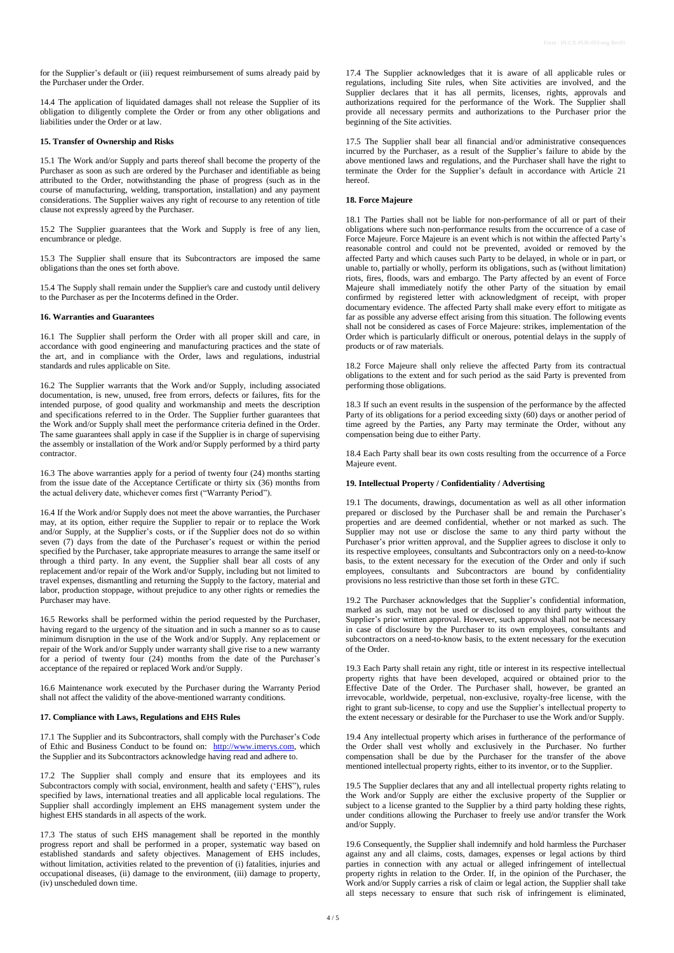for the Supplier"s default or (iii) request reimbursement of sums already paid by the Purchaser under the Order.

14.4 The application of liquidated damages shall not release the Supplier of its obligation to diligently complete the Order or from any other obligations and liabilities under the Order or at law.

## **15. Transfer of Ownership and Risks**

15.1 The Work and/or Supply and parts thereof shall become the property of the Purchaser as soon as such are ordered by the Purchaser and identifiable as being attributed to the Order, notwithstanding the phase of progress (such as in the course of manufacturing, welding, transportation, installation) and any payment considerations. The Supplier waives any right of recourse to any retention of title clause not expressly agreed by the Purchaser.

15.2 The Supplier guarantees that the Work and Supply is free of any lien, encumbrance or pledge.

15.3 The Supplier shall ensure that its Subcontractors are imposed the same obligations than the ones set forth above.

15.4 The Supply shall remain under the Supplier's care and custody until delivery to the Purchaser as per the Incoterms defined in the Order.

## **16. Warranties and Guarantees**

16.1 The Supplier shall perform the Order with all proper skill and care, in accordance with good engineering and manufacturing practices and the state of the art, and in compliance with the Order, laws and regulations, industrial standards and rules applicable on Site.

16.2 The Supplier warrants that the Work and/or Supply, including associated documentation, is new, unused, free from errors, defects or failures, fits for the intended purpose, of good quality and workmanship and meets the description and specifications referred to in the Order. The Supplier further guarantees that the Work and/or Supply shall meet the performance criteria defined in the Order. The same guarantees shall apply in case if the Supplier is in charge of supervising the assembly or installation of the Work and/or Supply performed by a third party contractor.

16.3 The above warranties apply for a period of twenty four (24) months starting from the issue date of the Acceptance Certificate or thirty six (36) months from the actual delivery date, whichever comes first ("Warranty Period").

16.4 If the Work and/or Supply does not meet the above warranties, the Purchaser may, at its option, either require the Supplier to repair or to replace the Work and/or Supply, at the Supplier's costs, or if the Supplier does not do so within seven (7) days from the date of the Purchaser's request or within the period specified by the Purchaser, take appropriate measures to arrange the same itself or through a third party. In any event, the Supplier shall bear all costs of any replacement and/or repair of the Work and/or Supply, including but not limited to travel expenses, dismantling and returning the Supply to the factory, material and labor, production stoppage, without prejudice to any other rights or remedies the Purchaser may have.

16.5 Reworks shall be performed within the period requested by the Purchaser, having regard to the urgency of the situation and in such a manner so as to cause minimum disruption in the use of the Work and/or Supply. Any replacement or repair of the Work and/or Supply under warranty shall give rise to a new warranty for a period of twenty four (24) months from the date of the Purchaser's acceptance of the repaired or replaced Work and/or Supply.

16.6 Maintenance work executed by the Purchaser during the Warranty Period shall not affect the validity of the above-mentioned warranty conditions.

## **17. Compliance with Laws, Regulations and EHS Rules**

17.1 The Supplier and its Subcontractors, shall comply with the Purchaser"s Code of Ethic and Business Conduct to be found on: [http://www.imerys.com,](http://www.imerys.com/) which the Supplier and its Subcontractors acknowledge having read and adhere to.

17.2 The Supplier shall comply and ensure that its employees and its Subcontractors comply with social, environment, health and safety ("EHS"), rules specified by laws, international treaties and all applicable local regulations. The Supplier shall accordingly implement an EHS management system under the highest EHS standards in all aspects of the work.

17.3 The status of such EHS management shall be reported in the monthly progress report and shall be performed in a proper, systematic way based on established standards and safety objectives. Management of EHS includes, without limitation, activities related to the prevention of (i) fatalities, injuries and occupational diseases, (ii) damage to the environment, (iii) damage to property, (iv) unscheduled down time.

17.4 The Supplier acknowledges that it is aware of all applicable rules or regulations, including Site rules, when Site activities are involved, and the Supplier declares that it has all permits, licenses, rights, approvals and authorizations required for the performance of the Work. The Supplier shall provide all necessary permits and authorizations to the Purchaser prior the beginning of the Site activities.

17.5 The Supplier shall bear all financial and/or administrative consequences incurred by the Purchaser, as a result of the Supplier"s failure to abide by the above mentioned laws and regulations, and the Purchaser shall have the right to terminate the Order for the Supplier"s default in accordance with Article 21 hereof.

#### **18. Force Majeure**

18.1 The Parties shall not be liable for non-performance of all or part of their obligations where such non-performance results from the occurrence of a case of Force Majeure. Force Majeure is an event which is not within the affected Party's reasonable control and could not be prevented, avoided or removed by the affected Party and which causes such Party to be delayed, in whole or in part, or unable to, partially or wholly, perform its obligations, such as (without limitation) riots, fires, floods, wars and embargo. The Party affected by an event of Force Majeure shall immediately notify the other Party of the situation by email confirmed by registered letter with acknowledgment of receipt, with proper documentary evidence. The affected Party shall make every effort to mitigate as far as possible any adverse effect arising from this situation. The following events shall not be considered as cases of Force Majeure: strikes, implementation of the Order which is particularly difficult or onerous, potential delays in the supply of products or of raw materials.

18.2 Force Majeure shall only relieve the affected Party from its contractual obligations to the extent and for such period as the said Party is prevented from performing those obligations.

18.3 If such an event results in the suspension of the performance by the affected Party of its obligations for a period exceeding sixty (60) days or another period of time agreed by the Parties, any Party may terminate the Order, without any compensation being due to either Party.

18.4 Each Party shall bear its own costs resulting from the occurrence of a Force Majeure event.

## **19. Intellectual Property / Confidentiality / Advertising**

19.1 The documents, drawings, documentation as well as all other information prepared or disclosed by the Purchaser shall be and remain the Purchaser's properties and are deemed confidential, whether or not marked as such. The Supplier may not use or disclose the same to any third party without the Purchaser's prior written approval, and the Supplier agrees to disclose it only to its respective employees, consultants and Subcontractors only on a need-to-know basis, to the extent necessary for the execution of the Order and only if such employees, consultants and Subcontractors are bound by confidentiality provisions no less restrictive than those set forth in these GTC.

19.2 The Purchaser acknowledges that the Supplier"s confidential information, marked as such, may not be used or disclosed to any third party without the Supplier's prior written approval. However, such approval shall not be necessary in case of disclosure by the Purchaser to its own employees, consultants and subcontractors on a need-to-know basis, to the extent necessary for the execution of the Order.

19.3 Each Party shall retain any right, title or interest in its respective intellectual property rights that have been developed, acquired or obtained prior to the Effective Date of the Order. The Purchaser shall, however, be granted an irrevocable, worldwide, perpetual, non-exclusive, royalty-free license, with the right to grant sub-license, to copy and use the Supplier"s intellectual property to the extent necessary or desirable for the Purchaser to use the Work and/or Supply.

19.4 Any intellectual property which arises in furtherance of the performance of the Order shall vest wholly and exclusively in the Purchaser. No further compensation shall be due by the Purchaser for the transfer of the above mentioned intellectual property rights, either to its inventor, or to the Supplier.

19.5 The Supplier declares that any and all intellectual property rights relating to the Work and/or Supply are either the exclusive property of the Supplier or subject to a license granted to the Supplier by a third party holding these rights, under conditions allowing the Purchaser to freely use and/or transfer the Work and/or Supply.

19.6 Consequently, the Supplier shall indemnify and hold harmless the Purchaser against any and all claims, costs, damages, expenses or legal actions by third parties in connection with any actual or alleged infringement of intellectual property rights in relation to the Order. If, in the opinion of the Purchaser, the Work and/or Supply carries a risk of claim or legal action, the Supplier shall take all steps necessary to ensure that such risk of infringement is eliminated,